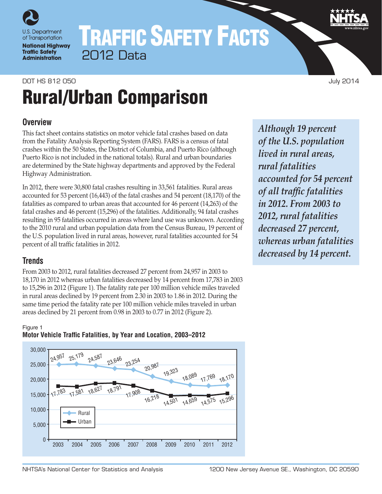

# TRAFFIC SAFETY FACTS 2012 Data

## DOT HS 812 050 July 2014 Rural/Urban Comparison

### **Overview**

This fact sheet contains statistics on motor vehicle fatal crashes based on data from the Fatality Analysis Reporting System (FARS). FARS is a census of fatal crashes within the 50 States, the District of Columbia, and Puerto Rico (although Puerto Rico is not included in the national totals). Rural and urban boundaries are determined by the State highway departments and approved by the Federal Highway Administration.

In 2012, there were 30,800 fatal crashes resulting in 33,561 fatalities. Rural areas accounted for 53 percent (16,443) of the fatal crashes and 54 percent (18,170) of the fatalities as compared to urban areas that accounted for 46 percent (14,263) of the fatal crashes and 46 percent (15,296) of the fatalities. Additionally, 94 fatal crashes resulting in 95 fatalities occurred in areas where land use was unknown. According to the 2010 rural and urban population data from the Census Bureau, 19 percent of the U.S. population lived in rural areas, however, rural fatalities accounted for 54 percent of all traffic fatalities in 2012.

## **Trends**

From 2003 to 2012, rural fatalities decreased 27 percent from 24,957 in 2003 to 18,170 in 2012 whereas urban fatalities decreased by 14 percent from 17,783 in 2003 to 15,296 in 2012 (Figure 1). The fatality rate per 100 million vehicle miles traveled in rural areas declined by 19 percent from 2.30 in 2003 to 1.86 in 2012. During the same time period the fatality rate per 100 million vehicle miles traveled in urban areas declined by 21 percent from 0.98 in 2003 to 0.77 in 2012 (Figure 2).

*Although 19 percent of the U.S. population lived in rural areas, rural fatalities accounted for 54 percent of all traffic fatalities in 2012. From 2003 to 2012, rural fatalities decreased 27 percent, whereas urban fatalities decreased by 14 percent.*

#### Figure 1



### **Motor Vehicle Traffic Fatalities, by Year and Location, 2003–2012**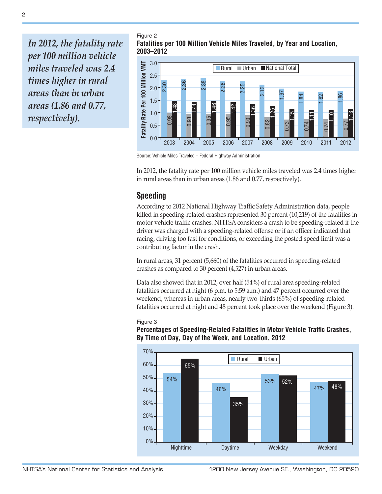*In 2012, the fatality rate per 100 million vehicle miles traveled was 2.4 times higher in rural areas than in urban areas (1.86 and 0.77, respectively).*

Figure 2 **Fatalities per 100 Million Vehicle Miles Traveled, by Year and Location, 2003–2012**



Source: Vehicle Miles Traveled – Federal Highway Administration

In 2012, the fatality rate per 100 million vehicle miles traveled was 2.4 times higher in rural areas than in urban areas (1.86 and 0.77, respectively).

#### **Speeding**

According to 2012 National Highway Traffic Safety Administration data, people killed in speeding-related crashes represented 30 percent (10,219) of the fatalities in motor vehicle traffic crashes. NHTSA considers a crash to be speeding-related if the driver was charged with a speeding-related offense or if an officer indicated that racing, driving too fast for conditions, or exceeding the posted speed limit was a contributing factor in the crash.

In rural areas, 31 percent (5,660) of the fatalities occurred in speeding-related crashes as compared to 30 percent (4,527) in urban areas.

Data also showed that in 2012, over half (54%) of rural area speeding-related fatalities occurred at night (6 p.m. to 5:59 a.m.) and 47 percent occurred over the weekend, whereas in urban areas, nearly two-thirds (65%) of speeding-related fatalities occurred at night and 48 percent took place over the weekend (Figure 3).

#### Figure 3

**Percentages of Speeding-Related Fatalities in Motor Vehicle Traffic Crashes, By Time of Day, Day of the Week, and Location, 2012**

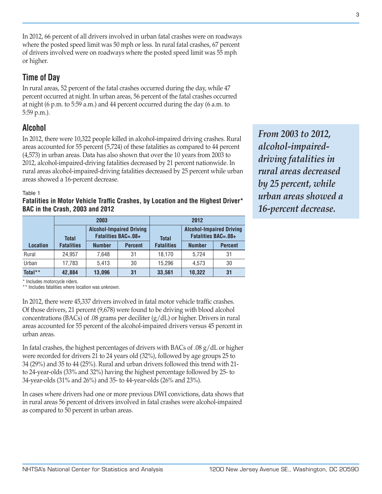In 2012, 66 percent of all drivers involved in urban fatal crashes were on roadways where the posted speed limit was 50 mph or less. In rural fatal crashes, 67 percent of drivers involved were on roadways where the posted speed limit was 55 mph or higher.

## **Time of Day**

In rural areas, 52 percent of the fatal crashes occurred during the day, while 47 percent occurred at night. In urban areas, 56 percent of the fatal crashes occurred at night (6 p.m. to 5:59 a.m.) and 44 percent occurred during the day (6 a.m. to 5:59 p.m.).

## **Alcohol**

In 2012, there were 10,322 people killed in alcohol-impaired driving crashes. Rural areas accounted for 55 percent (5,724) of these fatalities as compared to 44 percent (4,573) in urban areas. Data has also shown that over the 10 years from 2003 to 2012, alcohol-impaired-driving fatalities decreased by 21 percent nationwide. In rural areas alcohol-impaired-driving fatalities decreased by 25 percent while urban areas showed a 16-percent decrease.

#### Table 1

**Fatalities in Motor Vehicle Traffic Crashes, by Location and the Highest Driver\* BAC in the Crash, 2003 and 2012**

|                 |                   | 2003          |                                                               | 2012              |                                                               |                |  |
|-----------------|-------------------|---------------|---------------------------------------------------------------|-------------------|---------------------------------------------------------------|----------------|--|
|                 | <b>Total</b>      |               | <b>Alcohol-Impaired Driving</b><br><b>Fatalities BAC=.08+</b> | <b>Total</b>      | <b>Alcohol-Impaired Driving</b><br><b>Fatalities BAC=.08+</b> |                |  |
| <b>Location</b> | <b>Fatalities</b> | <b>Number</b> | <b>Percent</b>                                                | <b>Fatalities</b> | <b>Number</b>                                                 | <b>Percent</b> |  |
| Rural           | 24.957            | 7.648         | 31                                                            | 18.170            | 5.724                                                         | 31             |  |
| Urban           | 17,783            | 5.413         | 30                                                            | 15.296            | 4.573                                                         | 30             |  |
| Total**         | 42,884            | 13,096        | 31                                                            | 33,561            | 10,322                                                        | 31             |  |

*From 2003 to 2012, alcohol-impaireddriving fatalities in rural areas decreased by 25 percent, while urban areas showed a 16-percent decrease.*

\* Includes motorcycle riders.

\*\* Includes fatalities where location was unknown.

In 2012, there were 45,337 drivers involved in fatal motor vehicle traffic crashes. Of those drivers, 21 percent (9,678) were found to be driving with blood alcohol concentrations (BACs) of .08 grams per deciliter  $(g/dL)$  or higher. Drivers in rural areas accounted for 55 percent of the alcohol-impaired drivers versus 45 percent in urban areas.

In fatal crashes, the highest percentages of drivers with BACs of .08 g/dL or higher were recorded for drivers 21 to 24 years old (32%), followed by age groups 25 to 34 (29%) and 35 to 44 (25%). Rural and urban drivers followed this trend with 21 to 24-year-olds (33% and 32%) having the highest percentage followed by 25- to 34-year-olds (31% and 26%) and 35- to 44-year-olds (26% and 23%).

In cases where drivers had one or more previous DWI convictions, data shows that in rural areas 56 percent of drivers involved in fatal crashes were alcohol-impaired as compared to 50 percent in urban areas.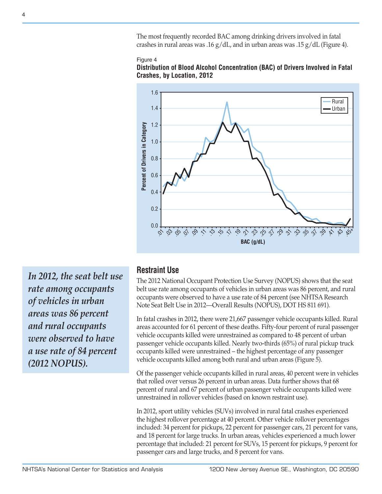The most frequently recorded BAC among drinking drivers involved in fatal crashes in rural areas was .16  $g/dL$ , and in urban areas was .15  $g/dL$  (Figure 4).







*In 2012, the seat belt use rate among occupants of vehicles in urban areas was 86 percent and rural occupants were observed to have a use rate of 84 percent (2012 NOPUS).*

## **Restraint Use**

The 2012 National Occupant Protection Use Survey (NOPUS) shows that the seat belt use rate among occupants of vehicles in urban areas was 86 percent, and rural occupants were observed to have a use rate of 84 percent (see NHTSA Research Note Seat Belt Use in 2012—Overall Results (NOPUS), DOT HS 811 691).

In fatal crashes in 2012, there were 21,667 passenger vehicle occupants killed. Rural areas accounted for 61 percent of these deaths. Fifty-four percent of rural passenger vehicle occupants killed were unrestrained as compared to 48 percent of urban passenger vehicle occupants killed. Nearly two-thirds (65%) of rural pickup truck occupants killed were unrestrained – the highest percentage of any passenger vehicle occupants killed among both rural and urban areas (Figure 5).

Of the passenger vehicle occupants killed in rural areas, 40 percent were in vehicles that rolled over versus 26 percent in urban areas. Data further shows that 68 percent of rural and 67 percent of urban passenger vehicle occupants killed were unrestrained in rollover vehicles (based on known restraint use).

In 2012, sport utility vehicles (SUVs) involved in rural fatal crashes experienced the highest rollover percentage at 40 percent. Other vehicle rollover percentages included: 34 percent for pickups, 22 percent for passenger cars, 21 percent for vans, and 18 percent for large trucks. In urban areas, vehicles experienced a much lower percentage that included: 21 percent for SUVs, 15 percent for pickups, 9 percent for passenger cars and large trucks, and 8 percent for vans.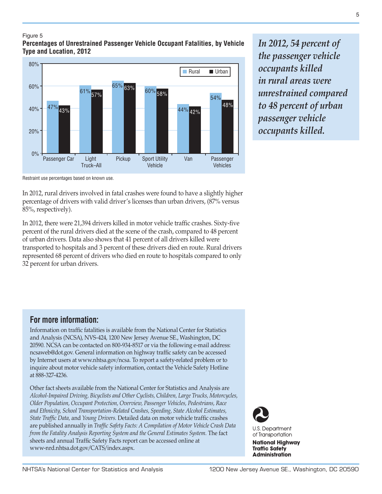#### Figure 5

**Percentages of Unrestrained Passenger Vehicle Occupant Fatalities, by Vehicle Type and Location, 2012**



*In 2012, 54 percent of the passenger vehicle occupants killed in rural areas were unrestrained compared to 48 percent of urban passenger vehicle occupants killed.*

Restraint use percentages based on known use.

In 2012, rural drivers involved in fatal crashes were found to have a slightly higher percentage of drivers with valid driver's licenses than urban drivers, (87% versus 85%, respectively).

In 2012, there were 21,394 drivers killed in motor vehicle traffic crashes. Sixty-five percent of the rural drivers died at the scene of the crash, compared to 48 percent of urban drivers. Data also shows that 41 percent of all drivers killed were transported to hospitals and 3 percent of these drivers died en route. Rural drivers represented 68 percent of drivers who died en route to hospitals compared to only 32 percent for urban drivers.

Information on traffic fatalities is available from the National Center for Statistics and Analysis (NCSA), NVS-424, 1200 New Jersey Avenue SE., Washington, DC 20590. NCSA can be contacted on 800-934-8517 or via the following e-mail address: ncsaweb@dot.gov. General information on highway traffic safety can be accessed by Internet users at [www.nhtsa.gov/ncsa.](http://www.nhtsa.gov/portal/site/nhtsa/ncsa) To report a safety-related problem or to inquire about motor vehicle safety information, contact the Vehicle Safety Hotline

## Other fact sheets available from the National Center for Statistics and Analysis are

at 888-327-4236.

**For more information:**

*Alcohol-Impaired Driving, Bicyclists and Other Cyclists, Children, Large Trucks, Motorcycles, Older Population, Occupant Protection, Overview, Passenger Vehicles, Pedestrians, Race and Ethnicity, School Transportation-Related Crashes, Speeding, State Alcohol Estimates, State Traffic Data,* and *Young Drivers.* Detailed data on motor vehicle traffic crashes are published annually in *Traffic Safety Facts: A Compilation of Motor Vehicle Crash Data from the Fatality Analysis Reporting System and the General Estimates System.* The fact sheets and annual Traffic Safety Facts report can be accessed online at [www-nrd.nhtsa.dot.gov/CATS/index.aspx.](http://www-nrd.nhtsa.dot.gov/CATS/index.aspx)



**U.S. Department** of Transportation

**National Highway Traffic Safety Administration** 

5